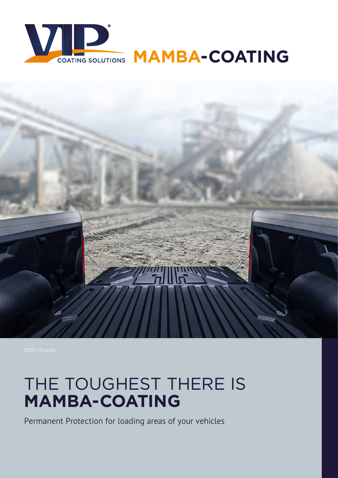



## THE TOUGHEST THERE IS **MAMBA-COATING**

Permanent Protection for loading areas of your vehicles